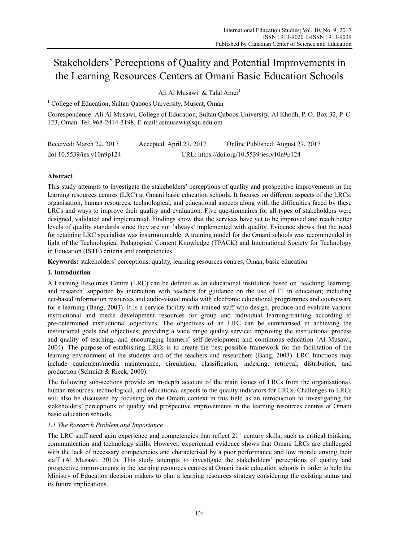# Stakeholders' Perceptions of Quality and Potential Improvements in the Learning Resources Centers at Omani Basic Education Schools

Ali Al Musawi<sup>1</sup> & Talal Amer<sup>1</sup>

<sup>1</sup> College of Education, Sultan Qaboos University, Muscat, Oman

Correspondence: Ali Al Musawi, College of Education, Sultan Qaboos University, Al Khodh, P. O. Box 32, P. C. 123, Oman. Tel: 968-2414-3198. E-mail: asmusawi@squ.edu.om

| Received: March 22, 2017  | Accepted: April 27, 2017 | Online Published: August 27, 2017          |
|---------------------------|--------------------------|--------------------------------------------|
| doi:10.5539/ies.v10n9p124 |                          | URL: https://doi.org/10.5539/ies.v10n9p124 |

# **Abstract**

This study attempts to investigate the stakeholders' perceptions of quality and prospective improvements in the learning resources centres (LRC) at Omani basic education schools. It focuses on different aspects of the LRCs: organisation, human resources, technological, and educational aspects along with the difficulties faced by these LRCs and ways to improve their quality and evaluation. Five questionnaires for all types of stakeholders were designed, validated and implemented. Findings show that the services have yet to be improved and reach better levels of quality standards since they are not 'always' implemented with quality. Evidence shows that the need for retaining LRC specialists was insurmountable. A training model for the Omani schools was recommended in light of the Technological Pedagogical Content Knowledge (TPACK) and International Society for Technology in Education (ISTE) criteria and competencies.

**Keywords:** stakeholders' perceptions, quality, learning resources centres, Oman, basic education

# **1. Introduction**

A Learning Resources Centre (LRC) can be defined as an educational institution based on 'teaching, learning, and research' supported by interaction with teachers for guidance on the use of IT in education; including net-based information resources and audio-visual media with electronic educational programmes and courseware for e-learning (Bang, 2003). It is a service facility with trained staff who design, produce and evaluate various instructional and media development resources for group and individual learning/training according to pre-determined instructional objectives. The objectives of an LRC can be summarised in achieving the institutional goals and objectives; providing a wide range quality service; improving the instructional process and quality of teaching; and encouraging learners' self-development and continuous education (Al Musawi, 2004). The purpose of establishing LRCs is to create the best possible framework for the facilitation of the learning environment of the students and of the teachers and researchers (Bang, 2003). LRC functions may include equipment/media maintenance, circulation, classification, indexing, retrieval, distribution, and production (Schmidt & Rieck, 2000).

The following sub-sections provide an in-depth account of the main issues of LRCs from the organisational, human resources, technological, and educational aspects to the quality indicators for LRCs. Challenges to LRCs will also be discussed by focusing on the Omani context in this field as an introduction to investigating the stakeholders' perceptions of quality and prospective improvements in the learning resources centres at Omani basic education schools.

### *1.1 The Research Problem and Importance*

The LRC staff need gain experience and competencies that reflect  $21<sup>st</sup>$  century skills, such as critical thinking, communication and technology skills. However, experiential evidence shows that Omani LRCs are challenged with the lack of necessary competencies and characterised by a poor performance and low morale among their staff (Al Musawi, 2010). This study attempts to investigate the stakeholders' perceptions of quality and prospective improvements in the learning resources centres at Omani basic education schools in order to help the Ministry of Education decision makers to plan a learning resources strategy considering the existing status and its future implications.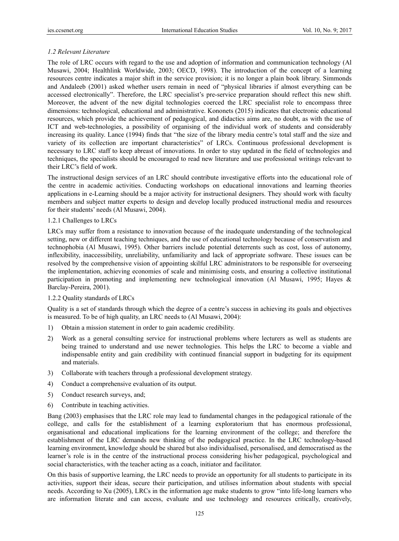# *1.2 Relevant Literature*

The role of LRC occurs with regard to the use and adoption of information and communication technology (Al Musawi, 2004; Healthlink Worldwide, 2003; OECD, 1998). The introduction of the concept of a learning resources centre indicates a major shift in the service provision; it is no longer a plain book library. Simmonds and Andaleeb (2001) asked whether users remain in need of "physical libraries if almost everything can be accessed electronically". Therefore, the LRC specialist's pre-service preparation should reflect this new shift. Moreover, the advent of the new digital technologies coerced the LRC specialist role to encompass three dimensions: technological, educational and administrative. Kononets (2015) indicates that electronic educational resources, which provide the achievement of pedagogical, and didactics aims are, no doubt, as with the use of ІCТ and web-technologies, a possibility of organising of the individual work of students and considerably increasing its quality. Lance (1994) finds that "the size of the library media centre's total staff and the size and variety of its collection are important characteristics" of LRCs. Continuous professional development is necessary to LRC staff to keep abreast of innovations. In order to stay updated in the field of technologies and techniques, the specialists should be encouraged to read new literature and use professional writings relevant to their LRC's field of work.

The instructional design services of an LRC should contribute investigative efforts into the educational role of the centre in academic activities. Conducting workshops on educational innovations and learning theories applications in e-Learning should be a major activity for instructional designers. They should work with faculty members and subject matter experts to design and develop locally produced instructional media and resources for their students' needs (Al Musawi, 2004).

## 1.2.1 Challenges to LRCs

LRCs may suffer from a resistance to innovation because of the inadequate understanding of the technological setting, new or different teaching techniques, and the use of educational technology because of conservatism and technophobia (Al Musawi, 1995). Other barriers include potential deterrents such as cost, loss of autonomy, inflexibility, inaccessibility, unreliability, unfamiliarity and lack of appropriate software. These issues can be resolved by the comprehensive vision of appointing skilful LRC administrators to be responsible for overseeing the implementation, achieving economies of scale and minimising costs, and ensuring a collective institutional participation in promoting and implementing new technological innovation (Al Musawi, 1995; Hayes & Barclay-Pereira, 2001).

# 1.2.2 Quality standards of LRCs

Quality is a set of standards through which the degree of a centre's success in achieving its goals and objectives is measured. To be of high quality, an LRC needs to (Al Musawi, 2004):

- 1) Obtain a mission statement in order to gain academic credibility.
- 2) Work as a general consulting service for instructional problems where lecturers as well as students are being trained to understand and use newer technologies. This helps the LRC to become a viable and indispensable entity and gain credibility with continued financial support in budgeting for its equipment and materials.
- 3) Collaborate with teachers through a professional development strategy.
- 4) Conduct a comprehensive evaluation of its output.
- 5) Conduct research surveys, and;
- 6) Contribute in teaching activities.

Bang (2003) emphasises that the LRC role may lead to fundamental changes in the pedagogical rationale of the college, and calls for the establishment of a learning exploratorium that has enormous professional, organisational and educational implications for the learning environment of the college; and therefore the establishment of the LRC demands new thinking of the pedagogical practice. In the LRC technology-based learning environment, knowledge should be shared but also individualised, personalised, and democratised as the learner's role is in the centre of the instructional process considering his/her pedagogical, psychological and social characteristics, with the teacher acting as a coach, initiator and facilitator.

On this basis of supportive learning, the LRC needs to provide an opportunity for all students to participate in its activities, support their ideas, secure their participation, and utilises information about students with special needs. According to Xu (2005), LRCs in the information age make students to grow "into life-long learners who are information literate and can access, evaluate and use technology and resources critically, creatively,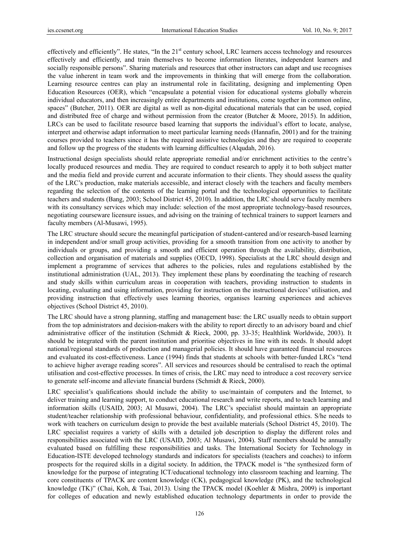effectively and efficiently". He states, "In the  $21<sup>st</sup>$  century school, LRC learners access technology and resources effectively and efficiently, and train themselves to become information literates, independent learners and socially responsible persons". Sharing materials and resources that other instructors can adapt and use recognises the value inherent in team work and the improvements in thinking that will emerge from the collaboration. Learning resource centres can play an instrumental role in facilitating, designing and implementing Open Education Resources (OER), which "encapsulate a potential vision for educational systems globally wherein individual educators, and then increasingly entire departments and institutions, come together in common online, spaces" (Butcher, 2011). OER are digital as well as non-digital educational materials that can be used, copied and distributed free of charge and without permission from the creator (Butcher & Moore, 2015). In addition, LRCs can be used to facilitate resource based learning that supports the individual's effort to locate, analyse, interpret and otherwise adapt information to meet particular learning needs (Hannafin, 2001) and for the training courses provided to teachers since it has the required assistive technologies and they are required to cooperate and follow up the progress of the students with learning difficulties (Alqudah, 2016).

Instructional design specialists should relate appropriate remedial and/or enrichment activities to the centre's locally produced resources and media. They are required to conduct research to apply it to both subject matter and the media field and provide current and accurate information to their clients. They should assess the quality of the LRC's production, make materials accessible, and interact closely with the teachers and faculty members regarding the selection of the contents of the learning portal and the technological opportunities to facilitate teachers and students (Bang, 2003; School District 45, 2010). In addition, the LRC should serve faculty members with its consultancy services which may include: selection of the most appropriate technology-based resources, negotiating courseware licensure issues, and advising on the training of technical trainers to support learners and faculty members (Al-Musawi, 1995).

The LRC structure should secure the meaningful participation of student-cantered and/or research-based learning in independent and/or small group activities, providing for a smooth transition from one activity to another by individuals or groups, and providing a smooth and efficient operation through the availability, distribution, collection and organisation of materials and supplies (OECD, 1998). Specialists at the LRC should design and implement a programme of services that adheres to the policies, rules and regulations established by the institutional administration (UAL, 2013). They implement these plans by **c**oordinating the teaching of research and study skills within curriculum areas in cooperation with teachers, providing instruction to students in locating, evaluating and using information, providing for instruction on the instructional devices' utilisation, and providing instruction that effectively uses learning theories, organises learning experiences and achieves objectives (School District 45, 2010).

The LRC should have a strong planning, staffing and management base: the LRC usually needs to obtain support from the top administrators and decision-makers with the ability to report directly to an advisory board and chief administrative officer of the institution (Schmidt & Rieck, 2000, pp. 33-35; Healthlink Worldwide, 2003). It should be integrated with the parent institution and prioritise objectives in line with its needs. It should adopt national/regional standards of production and managerial policies. It should have guaranteed financial resources and evaluated its cost-effectiveness. Lance (1994) finds that students at schools with better-funded LRCs "tend to achieve higher average reading scores". All services and resources should be centralised to reach the optimal utilisation and cost-effective processes. In times of crisis, the LRC may need to introduce a cost recovery service to generate self-income and alleviate financial burdens (Schmidt & Rieck, 2000).

LRC specialist's qualifications should include the ability to use/maintain of computers and the Internet, to deliver training and learning support, to conduct educational research and write reports, and to teach learning and information skills (USAID, 2003; Al Musawi, 2004). The LRC's specialist should maintain an appropriate student/teacher relationship with professional behaviour, confidentiality, and professional ethics. S/he needs to work with teachers on curriculum design to provide the best available materials (School District 45, 2010). The LRC specialist requires a variety of skills with a detailed job description to display the different roles and responsibilities associated with the LRC (USAID, 2003; Al Musawi, 2004). Staff members should be annually evaluated based on fulfilling these responsibilities and tasks. The International Society for Technology in Education-ISTE developed technology standards and indicators for specialists (teachers and coaches) to inform prospects for the required skills in a digital society. In addition, the TPACK model is "the synthesized form of knowledge for the purpose of integrating ICT/educational technology into classroom teaching and learning. The core constituents of TPACK are content knowledge (CK), pedagogical knowledge (PK), and the technological knowledge (TK)" (Chai, Koh, & Tsai, 2013). Using the TPACK model (Koehler & Mishra, 2009) is important for colleges of education and newly established education technology departments in order to provide the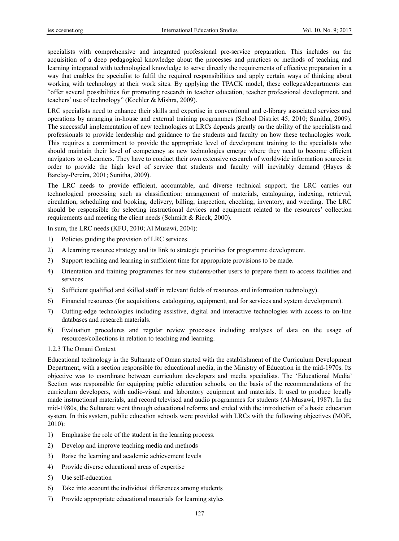specialists with comprehensive and integrated professional pre-service preparation. This includes on the acquisition of a deep pedagogical knowledge about the processes and practices or methods of teaching and learning integrated with technological knowledge to serve directly the requirements of effective preparation in a way that enables the specialist to fulfil the required responsibilities and apply certain ways of thinking about working with technology at their work sites. By applying the TPACK model, these colleges/departments can "offer several possibilities for promoting research in teacher education, teacher professional development, and teachers' use of technology" (Koehler & Mishra, 2009).

LRC specialists need to enhance their skills and expertise in conventional and e-library associated services and operations by arranging in-house and external training programmes (School District 45, 2010; Sunitha, 2009). The successful implementation of new technologies at LRCs depends greatly on the ability of the specialists and professionals to provide leadership and guidance to the students and faculty on how these technologies work. This requires a commitment to provide the appropriate level of development training to the specialists who should maintain their level of competency as new technologies emerge where they need to become efficient navigators to e-Learners. They have to conduct their own extensive research of worldwide information sources in order to provide the high level of service that students and faculty will inevitably demand (Hayes  $\&$ Barclay-Pereira, 2001; Sunitha, 2009).

The LRC needs to provide efficient, accountable, and diverse technical support; the LRC carries out technological processing such as classification: arrangement of materials, cataloguing, indexing, retrieval, circulation, scheduling and booking, delivery, billing, inspection, checking, inventory, and weeding. The LRC should be responsible for selecting instructional devices and equipment related to the resources' collection requirements and meeting the client needs (Schmidt & Rieck, 2000).

In sum, the LRC needs (KFU, 2010; Al Musawi, 2004):

- 1) Policies guiding the provision of LRC services.
- 2) A learning resource strategy and its link to strategic priorities for programme development.
- 3) Support teaching and learning in sufficient time for appropriate provisions to be made.
- 4) Orientation and training programmes for new students/other users to prepare them to access facilities and services.
- 5) Sufficient qualified and skilled staff in relevant fields of resources and information technology).
- 6) Financial resources (for acquisitions, cataloguing, equipment, and for services and system development).
- 7) Cutting-edge technologies including assistive, digital and interactive technologies with access to on-line databases and research materials.
- 8) Evaluation procedures and regular review processes including analyses of data on the usage of resources/collections in relation to teaching and learning.

#### 1.2.3 The Omani Context

Educational technology in the Sultanate of Oman started with the establishment of the Curriculum Development Department, with a section responsible for educational media, in the Ministry of Education in the mid-1970s. Its objective was to coordinate between curriculum developers and media specialists. The 'Educational Media' Section was responsible for equipping public education schools, on the basis of the recommendations of the curriculum developers, with audio-visual and laboratory equipment and materials. It used to produce locally made instructional materials, and record televised and audio programmes for students (Al-Musawi, 1987). In the mid-1980s, the Sultanate went through educational reforms and ended with the introduction of a basic education system. In this system, public education schools were provided with LRCs with the following objectives (MOE, 2010):

- 1) Emphasise the role of the student in the learning process.
- 2) Develop and improve teaching media and methods
- 3) Raise the learning and academic achievement levels
- 4) Provide diverse educational areas of expertise
- 5) Use self-education
- 6) Take into account the individual differences among students
- 7) Provide appropriate educational materials for learning styles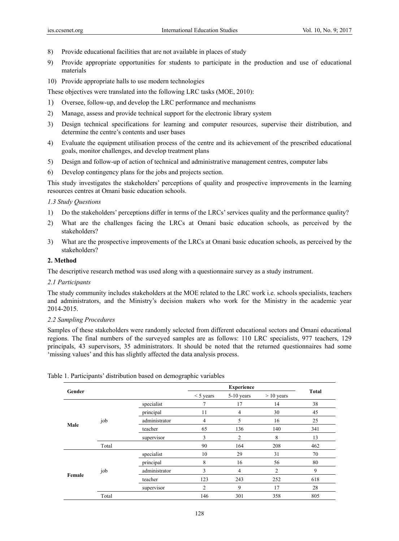- 8) Provide educational facilities that are not available in places of study
- 9) Provide appropriate opportunities for students to participate in the production and use of educational materials
- 10) Provide appropriate halls to use modern technologies

These objectives were translated into the following LRC tasks (MOE, 2010):

- 1) Oversee, follow-up, and develop the LRC performance and mechanisms
- 2) Manage, assess and provide technical support for the electronic library system
- 3) Design technical specifications for learning and computer resources, supervise their distribution, and determine the centre's contents and user bases
- 4) Evaluate the equipment utilisation process of the centre and its achievement of the prescribed educational goals, monitor challenges, and develop treatment plans
- 5) Design and follow-up of action of technical and administrative management centres, computer labs
- 6) Develop contingency plans for the jobs and projects section.

This study investigates the stakeholders' perceptions of quality and prospective improvements in the learning resources centres at Omani basic education schools.

#### *1.3 Study Questions*

- 1) Do the stakeholders' perceptions differ in terms of the LRCs' services quality and the performance quality?
- 2) What are the challenges facing the LRCs at Omani basic education schools, as perceived by the stakeholders?
- 3) What are the prospective improvements of the LRCs at Omani basic education schools, as perceived by the stakeholders?

#### **2. Method**

The descriptive research method was used along with a questionnaire survey as a study instrument.

#### *2.1 Participants*

The study community includes stakeholders at the MOE related to the LRC work i.e. schools specialists, teachers and administrators, and the Ministry's decision makers who work for the Ministry in the academic year 2014-2015.

## *2.2 Sampling Procedures*

Samples of these stakeholders were randomly selected from different educational sectors and Omani educational regions. The final numbers of the surveyed samples are as follows: 110 LRC specialists, 977 teachers, 129 principals, 43 supervisors, 35 administrators. It should be noted that the returned questionnaires had some 'missing values' and this has slightly affected the data analysis process.

| Gender |       |               |     | $5-10$ years   | $> 10$ years | <b>Total</b> |
|--------|-------|---------------|-----|----------------|--------------|--------------|
|        |       | specialist    | 7   | 17             | 14           | 38           |
|        |       | principal     | 11  | $\overline{4}$ | 30           | 45           |
|        | job   | administrator | 4   | 5              | 16           | 25           |
| Male   |       | teacher       | 65  | 136            | 140          | 341          |
|        |       | supervisor    | 3   | $\overline{2}$ | 8            | 13           |
|        | Total |               | 90  | 164            | 208          | 462          |
|        |       | specialist    | 10  | 29             | 31           | 70           |
|        |       | principal     | 8   | 16             | 56           | 80           |
|        | job   | administrator | 3   | 4              | 2            | 9            |
| Female |       | teacher       | 123 | 243            | 252          | 618          |
|        |       | supervisor    | 2   | 9              | 17           | 28           |
|        | Total |               | 146 | 301            | 358          | 805          |

Table 1. Participants' distribution based on demographic variables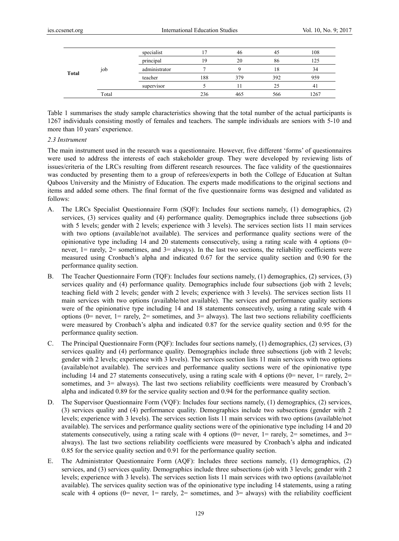| job   |               | specialist            |     | 46  | 45  | 108  |
|-------|---------------|-----------------------|-----|-----|-----|------|
|       | principal     | 19                    | 20  | 86  | 125 |      |
|       | administrator |                       |     | 18  | 34  |      |
| Total |               | teacher               | 188 | 379 | 392 | 959  |
|       |               | $\cdot$<br>supervisor |     |     | 25  | 4ì   |
|       | Total         |                       | 236 | 465 | 566 | 1267 |

Table 1 summarises the study sample characteristics showing that the total number of the actual participants is 1267 individuals consisting mostly of females and teachers. The sample individuals are seniors with 5-10 and more than 10 years' experience.

#### *2.3 Instrument*

The main instrument used in the research was a questionnaire. However, five different 'forms' of questionnaires were used to address the interests of each stakeholder group. They were developed by reviewing lists of issues/criteria of the LRCs resulting from different research resources. The face validity of the questionnaires was conducted by presenting them to a group of referees/experts in both the College of Education at Sultan Qaboos University and the Ministry of Education. The experts made modifications to the original sections and items and added some others. The final format of the five questionnaire forms was designed and validated as follows:

- A. The LRCs Specialist Questionnaire Form (SQF): Includes four sections namely, (1) demographics, (2) services, (3) services quality and (4) performance quality. Demographics include three subsections (job with 5 levels; gender with 2 levels; experience with 3 levels). The services section lists 11 main services with two options (available/not available). The services and performance quality sections were of the opinionative type including 14 and 20 statements consecutively, using a rating scale with 4 options  $(0=$ never, 1= rarely, 2= sometimes, and 3= always). In the last two sections, the reliability coefficients were measured using Cronbach's alpha and indicated 0.67 for the service quality section and 0.90 for the performance quality section.
- B. The Teacher Questionnaire Form (TQF): Includes four sections namely, (1) demographics, (2) services, (3) services quality and (4) performance quality. Demographics include four subsections (job with 2 levels; teaching field with 2 levels; gender with 2 levels; experience with 3 levels). The services section lists 11 main services with two options (available/not available). The services and performance quality sections were of the opinionative type including 14 and 18 statements consecutively, using a rating scale with 4 options ( $0=$  never,  $1=$  rarely,  $2=$  sometimes, and  $3=$  always). The last two sections reliability coefficients were measured by Cronbach's alpha and indicated 0.87 for the service quality section and 0.95 for the performance quality section.
- C. The Principal Questionnaire Form (PQF): Includes four sections namely, (1) demographics, (2) services, (3) services quality and (4) performance quality. Demographics include three subsections (job with 2 levels; gender with 2 levels; experience with 3 levels). The services section lists 11 main services with two options (available/not available). The services and performance quality sections were of the opinionative type including 14 and 27 statements consecutively, using a rating scale with 4 options (0= never, 1= rarely,  $2=$ sometimes, and  $3=$  always). The last two sections reliability coefficients were measured by Cronbach's alpha and indicated 0.89 for the service quality section and 0.94 for the performance quality section.
- D. The Supervisor Questionnaire Form (VQF): Includes four sections namely, (1) demographics, (2) services, (3) services quality and (4) performance quality. Demographics include two subsections (gender with 2 levels; experience with 3 levels). The services section lists 11 main services with two options (available/not available). The services and performance quality sections were of the opinionative type including 14 and 20 statements consecutively, using a rating scale with 4 options (0= never,  $1=$  rarely,  $2=$  sometimes, and  $3=$ always). The last two sections reliability coefficients were measured by Cronbach's alpha and indicated 0.85 for the service quality section and 0.91 for the performance quality section.
- E. The Administrator Questionnaire Form (AQF): Includes three sections namely, (1) demographics, (2) services, and (3) services quality. Demographics include three subsections (job with 3 levels; gender with 2 levels; experience with 3 levels). The services section lists 11 main services with two options (available/not available). The services quality section was of the opinionative type including 14 statements, using a rating scale with 4 options ( $0=$  never,  $1=$  rarely,  $2=$  sometimes, and  $3=$  always) with the reliability coefficient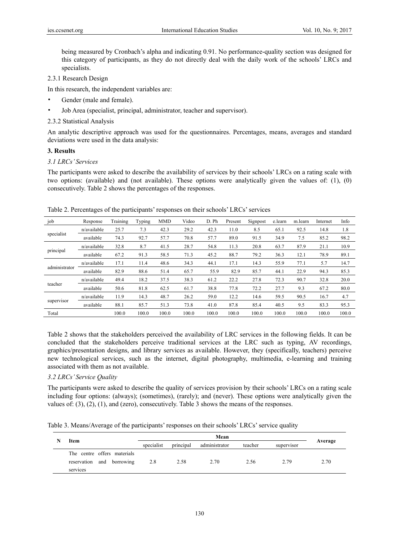being measured by Cronbach's alpha and indicating 0.91. No performance-quality section was designed for this category of participants, as they do not directly deal with the daily work of the schools' LRCs and specialists.

## 2.3.1 Research Design

In this research, the independent variables are:

- Gender (male and female).
- Job Area (specialist, principal, administrator, teacher and supervisor).

### 2.3.2 Statistical Analysis

An analytic descriptive approach was used for the questionnaires. Percentages, means, averages and standard deviations were used in the data analysis:

## **3. Results**

## *3.1 LRCs' Services*

The participants were asked to describe the availability of services by their schools' LRCs on a rating scale with two options: (available) and (not available). These options were analytically given the values of: (1), (0) consecutively. Table 2 shows the percentages of the responses.

| job           | Response    | Training | Typing | <b>MMD</b> | Video | D. Ph | Present | Signpost | e.learn | m.learn | Internet | Info  |
|---------------|-------------|----------|--------|------------|-------|-------|---------|----------|---------|---------|----------|-------|
|               | n/available | 25.7     | 7.3    | 42.3       | 29.2  | 42.3  | 11.0    | 8.5      | 65.1    | 92.5    | 14.8     | 1.8   |
| specialist    | available   | 74.3     | 92.7   | 57.7       | 70.8  | 57.7  | 89.0    | 91.5     | 34.9    | 7.5     | 85.2     | 98.2  |
|               | n/available | 32.8     | 8.7    | 41.5       | 28.7  | 54.8  | 11.3    | 20.8     | 63.7    | 87.9    | 21.1     | 10.9  |
| principal     | available   | 67.2     | 91.3   | 58.5       | 71.3  | 45.2  | 88.7    | 79.2     | 36.3    | 12.1    | 78.9     | 89.1  |
|               | n/available | 17.1     | 11.4   | 48.6       | 34.3  | 44.1  | 17.1    | 14.3     | 55.9    | 77.1    | 5.7      | 14.7  |
| administrator | available   | 82.9     | 88.6   | 51.4       | 65.7  | 55.9  | 82.9    | 85.7     | 44.1    | 22.9    | 94.3     | 85.3  |
|               | n/available | 49.4     | 18.2   | 37.5       | 38.3  | 61.2  | 22.2    | 27.8     | 72.3    | 90.7    | 32.8     | 20.0  |
| teacher       | available   | 50.6     | 81.8   | 62.5       | 61.7  | 38.8  | 77.8    | 72.2     | 27.7    | 9.3     | 67.2     | 80.0  |
|               | n/available | 11.9     | 14.3   | 48.7       | 26.2  | 59.0  | 12.2    | 14.6     | 59.5    | 90.5    | 16.7     | 4.7   |
| supervisor    | available   | 88.1     | 85.7   | 51.3       | 73.8  | 41.0  | 87.8    | 85.4     | 40.5    | 9.5     | 83.3     | 95.3  |
| Total         |             | 100.0    | 100.0  | 100.0      | 100.0 | 100.0 | 100.0   | 100.0    | 100.0   | 100.0   | 100.0    | 100.0 |

Table 2. Percentages of the participants' responses on their schools' LRCs' services

Table 2 shows that the stakeholders perceived the availability of LRC services in the following fields. It can be concluded that the stakeholders perceive traditional services at the LRC such as typing, AV recordings, graphics/presentation designs, and library services as available. However, they (specifically, teachers) perceive new technological services, such as the internet, digital photography, multimedia, e-learning and training associated with them as not available.

# *3.2 LRCs' Service Quality*

The participants were asked to describe the quality of services provision by their schools' LRCs on a rating scale including four options: (always); (sometimes), (rarely); and (never). These options were analytically given the values of: (3), (2), (1), and (zero), consecutively. Table 3 shows the means of the responses.

Table 3. Means/Average of the participants' responses on their schools' LRCs' service quality

|  |                                                                      |            |           | Mean          |         |            |         |
|--|----------------------------------------------------------------------|------------|-----------|---------------|---------|------------|---------|
|  | Item                                                                 | specialist | principal | administrator | teacher | supervisor | Average |
|  | The centre offers materials<br>reservation and borrowing<br>services | 2.8        | 2.58      | 2.70          | 2.56    | 2.79       | 2.70    |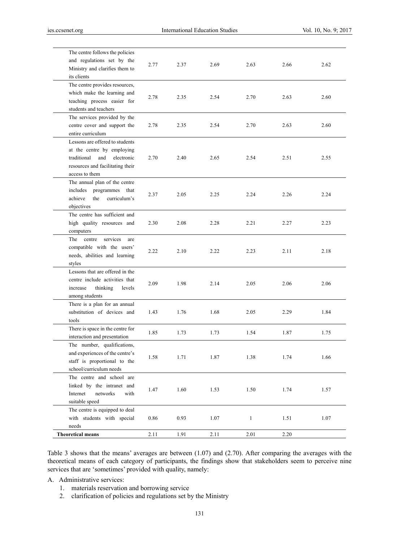| The centre follows the policies<br>and regulations set by the<br>Ministry and clarifies them to<br>its clients                                          | 2.77 | 2.37 | 2.69 | 2.63         | 2.66 | 2.62 |
|---------------------------------------------------------------------------------------------------------------------------------------------------------|------|------|------|--------------|------|------|
| The centre provides resources,<br>which make the learning and<br>teaching process easier for<br>students and teachers                                   | 2.78 | 2.35 | 2.54 | 2.70         | 2.63 | 2.60 |
| The services provided by the<br>centre cover and support the<br>entire curriculum                                                                       | 2.78 | 2.35 | 2.54 | 2.70         | 2.63 | 2.60 |
| Lessons are offered to students<br>at the centre by employing<br>traditional<br>and<br>electronic<br>resources and facilitating their<br>access to them | 2.70 | 2.40 | 2.65 | 2.54         | 2.51 | 2.55 |
| The annual plan of the centre<br>includes<br>programmes<br>that<br>achieve<br>the<br>curriculum's<br>objectives                                         | 2.37 | 2.05 | 2.25 | 2.24         | 2.26 | 2.24 |
| The centre has sufficient and<br>high quality resources and<br>computers                                                                                | 2.30 | 2.08 | 2.28 | 2.21         | 2.27 | 2.23 |
| The<br>centre services<br>are<br>compatible with the users'<br>needs, abilities and learning<br>styles                                                  | 2.22 | 2.10 | 2.22 | 2.23         | 2.11 | 2.18 |
| Lessons that are offered in the<br>centre include activities that<br>increase<br>thinking<br>levels<br>among students                                   | 2.09 | 1.98 | 2.14 | 2.05         | 2.06 | 2.06 |
| There is a plan for an annual<br>substitution of devices and<br>tools                                                                                   | 1.43 | 1.76 | 1.68 | 2.05         | 2.29 | 1.84 |
| There is space in the centre for<br>interaction and presentation                                                                                        | 1.85 | 1.73 | 1.73 | 1.54         | 1.87 | 1.75 |
| The number, qualifications,<br>and experiences of the centre's<br>staff is proportional to the<br>school/curriculum needs                               | 1.58 | 1.71 | 1.87 | 1.38         | 1.74 | 1.66 |
| The centre and school are<br>linked by the intranet and<br>Internet<br>networks<br>with<br>suitable speed                                               | 1.47 | 1.60 | 1.53 | 1.50         | 1.74 | 1.57 |
| The centre is equipped to deal<br>with students with special<br>needs                                                                                   | 0.86 | 0.93 | 1.07 | $\mathbf{1}$ | 1.51 | 1.07 |
| <b>Theoretical means</b>                                                                                                                                | 2.11 | 1.91 | 2.11 | 2.01         | 2.20 |      |

Table 3 shows that the means' averages are between (1.07) and (2.70). After comparing the averages with the theoretical means of each category of participants, the findings show that stakeholders seem to perceive nine services that are 'sometimes' provided with quality, namely:

- A. Administrative services:
	- 1. materials reservation and borrowing service
	- 2. clarification of policies and regulations set by the Ministry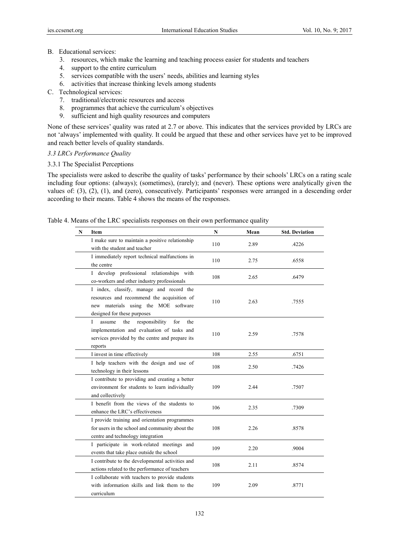- B. Educational services:
	- 3. resources, which make the learning and teaching process easier for students and teachers
	- 4. support to the entire curriculum
	- 5. services compatible with the users' needs, abilities and learning styles
	- 6. activities that increase thinking levels among students
- C. Technological services:
	- 7. traditional/electronic resources and access
	- 8. programmes that achieve the curriculum's objectives
	- 9. sufficient and high quality resources and computers

None of these services' quality was rated at 2.7 or above. This indicates that the services provided by LRCs are not 'always' implemented with quality. It could be argued that these and other services have yet to be improved and reach better levels of quality standards.

### *3.3 LRCs Performance Quality*

### 3.3.1 The Specialist Perceptions

The specialists were asked to describe the quality of tasks' performance by their schools' LRCs on a rating scale including four options: (always); (sometimes), (rarely); and (never). These options were analytically given the values of: (3), (2), (1), and (zero), consecutively. Participants' responses were arranged in a descending order according to their means. Table 4 shows the means of the responses.

| Table 4. Means of the LRC specialists responses on their own performance quality |  |  |  |
|----------------------------------------------------------------------------------|--|--|--|
|----------------------------------------------------------------------------------|--|--|--|

| ${\bf N}$ | Item                                                                                                                                                           | $\mathbf N$ | Mean | <b>Std. Deviation</b> |
|-----------|----------------------------------------------------------------------------------------------------------------------------------------------------------------|-------------|------|-----------------------|
|           | I make sure to maintain a positive relationship<br>with the student and teacher                                                                                | 110         | 2.89 | .4226                 |
|           | I immediately report technical malfunctions in<br>the centre                                                                                                   | 110         | 2.75 | .6558                 |
|           | I develop professional relationships with<br>co-workers and other industry professionals                                                                       | 108         | 2.65 | .6479                 |
|           | I index, classify, manage and record the<br>resources and recommend the acquisition of<br>new materials using the MOE software<br>designed for these purposes  | 110         | 2.63 | .7555                 |
|           | responsibility<br>for<br>I<br>the<br>the<br>assume<br>implementation and evaluation of tasks and<br>services provided by the centre and prepare its<br>reports | 110         | 2.59 | .7578                 |
|           | I invest in time effectively                                                                                                                                   | 108         | 2.55 | .6751                 |
|           | I help teachers with the design and use of<br>technology in their lessons                                                                                      | 108         | 2.50 | .7426                 |
|           | I contribute to providing and creating a better<br>environment for students to learn individually<br>and collectively                                          | 109         | 2.44 | .7507                 |
|           | I benefit from the views of the students to<br>enhance the LRC's effectiveness                                                                                 | 106         | 2.35 | .7309                 |
|           | I provide training and orientation programmes<br>for users in the school and community about the<br>centre and technology integration                          | 108         | 2.26 | .8578                 |
|           | I participate in work-related meetings and<br>events that take place outside the school                                                                        | 109         | 2.20 | .9004                 |
|           | I contribute to the developmental activities and<br>actions related to the performance of teachers                                                             | 108         | 2.11 | .8574                 |
|           | I collaborate with teachers to provide students<br>with information skills and link them to the<br>curriculum                                                  | 109         | 2.09 | .8771                 |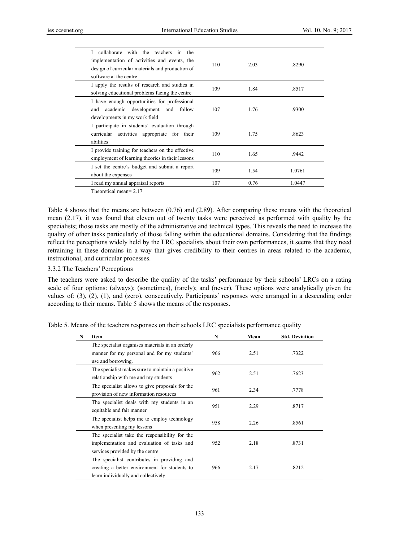$\overline{a}$ 

| collaborate with the teachers in the<br>L<br>implementation of activities and events, the<br>design of curricular materials and production of<br>software at the centre | 110 | 2.03 | .8290  |
|-------------------------------------------------------------------------------------------------------------------------------------------------------------------------|-----|------|--------|
| I apply the results of research and studies in<br>solving educational problems facing the centre                                                                        | 109 | 1.84 | .8517  |
| I have enough opportunities for professional<br>academic development and follow<br>and<br>developments in my work field                                                 | 107 | 1.76 | .9300  |
| I participate in students' evaluation through<br>curricular activities appropriate for their<br>abilities                                                               | 109 | 1.75 | .8623  |
| I provide training for teachers on the effective<br>employment of learning theories in their lessons                                                                    | 110 | 1.65 | .9442  |
| I set the centre's budget and submit a report<br>about the expenses                                                                                                     | 109 | 1.54 | 1.0761 |
| I read my annual appraisal reports                                                                                                                                      | 107 | 0.76 | 1.0447 |
| Theoretical mean= 2.17                                                                                                                                                  |     |      |        |

Table 4 shows that the means are between (0.76) and (2.89). After comparing these means with the theoretical mean (2.17), it was found that eleven out of twenty tasks were perceived as performed with quality by the specialists; those tasks are mostly of the administrative and technical types. This reveals the need to increase the quality of other tasks particularly of those falling within the educational domains. Considering that the findings reflect the perceptions widely held by the LRC specialists about their own performances, it seems that they need retraining in these domains in a way that gives credibility to their centres in areas related to the academic, instructional, and curricular processes.

#### 3.3.2 The Teachers' Perceptions

The teachers were asked to describe the quality of the tasks' performance by their schools' LRCs on a rating scale of four options: (always); (sometimes), (rarely); and (never). These options were analytically given the values of: (3), (2), (1), and (zero), consecutively. Participants' responses were arranged in a descending order according to their means. Table 5 shows the means of the responses.

| N | Item                                                                                                                                | N   | Mean | <b>Std. Deviation</b> |
|---|-------------------------------------------------------------------------------------------------------------------------------------|-----|------|-----------------------|
|   | The specialist organises materials in an orderly<br>manner for my personal and for my students'<br>use and borrowing.               | 966 | 2.51 | .7322                 |
|   | The specialist makes sure to maintain a positive.<br>relationship with me and my students                                           | 962 | 2.51 | .7623                 |
|   | The specialist allows to give proposals for the<br>provision of new information resources                                           | 961 | 2.34 | .7778                 |
|   | The specialist deals with my students in an<br>equitable and fair manner                                                            | 951 | 2.29 | .8717                 |
|   | The specialist helps me to employ technology<br>when presenting my lessons                                                          | 958 | 2.26 | .8561                 |
|   | The specialist take the responsibility for the<br>implementation and evaluation of tasks and<br>services provided by the centre     | 952 | 2.18 | .8731                 |
|   | The specialist contributes in providing and<br>creating a better environment for students to<br>learn individually and collectively | 966 | 2.17 | .8212                 |

Table 5. Means of the teachers responses on their schools LRC specialists performance quality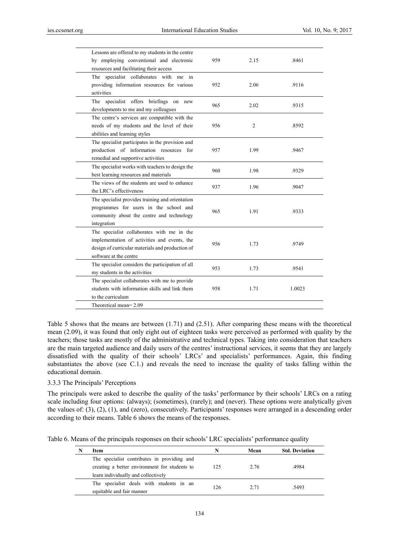| Lessons are offered to my students in the centre<br>by employing conventional and electronic<br>resources and facilitating their access                                  | 959 | 2.15           | .8461  |
|--------------------------------------------------------------------------------------------------------------------------------------------------------------------------|-----|----------------|--------|
| The specialist collaborates with me in<br>providing information resources for various<br>activities                                                                      | 952 | 2.06           | .9116  |
| The specialist offers briefings on<br>new<br>developments to me and my colleagues                                                                                        | 965 | 2.02           | .9315  |
| The centre's services are compatible with the<br>needs of my students and the level of their<br>abilities and learning styles                                            | 956 | $\overline{2}$ | .8592  |
| The specialist participates in the provision and<br>production of information resources for<br>remedial and supportive activities                                        | 957 | 1.99           | .9467  |
| The specialist works with teachers to design the<br>best learning resources and materials                                                                                | 960 | 1.98           | .9329  |
| The views of the students are used to enhance<br>the LRC's effectiveness                                                                                                 | 937 | 1.96           | .9047  |
| The specialist provides training and orientation<br>programmes for users in the school and<br>community about the centre and technology<br>integration                   | 965 | 1.91           | .9333  |
| The specialist collaborates with me in the<br>implementation of activities and events, the<br>design of curricular materials and production of<br>software at the centre | 956 | 1.73           | .9749  |
| The specialist considers the participation of all<br>my students in the activities                                                                                       | 953 | 1.73           | .9541  |
| The specialist collaborates with me to provide<br>students with information skills and link them<br>to the curriculum                                                    | 958 | 1.71           | 1.0023 |
| Theoretical mean= 2.09                                                                                                                                                   |     |                |        |

Table 5 shows that the means are between (1.71) and (2.51). After comparing these means with the theoretical mean (2.09), it was found that only eight out of eighteen tasks were perceived as performed with quality by the teachers; those tasks are mostly of the administrative and technical types. Taking into consideration that teachers are the main targeted audience and daily users of the centres' instructional services, it seems that they are largely dissatisfied with the quality of their schools' LRCs' and specialists' performances. Again, this finding substantiates the above (see C.1.) and reveals the need to increase the quality of tasks falling within the educational domain.

## 3.3.3 The Principals' Perceptions

The principals were asked to describe the quality of the tasks' performance by their schools' LRCs on a rating scale including four options: (always); (sometimes), (rarely); and (never). These options were analytically given the values of: (3), (2), (1), and (zero), consecutively. Participants' responses were arranged in a descending order according to their means. Table 6 shows the means of the responses.

Table 6. Means of the principals responses on their schools' LRC specialists' performance quality

| <b>Item</b>                                   | N   | Mean | <b>Std. Deviation</b> |  |
|-----------------------------------------------|-----|------|-----------------------|--|
| The specialist contributes in providing and   |     |      |                       |  |
| creating a better environment for students to | 125 | 2.76 | .4984                 |  |
| learn individually and collectively           |     |      |                       |  |
| The specialist deals with students in an      |     |      |                       |  |
| equitable and fair manner                     | 126 | 2.71 | .5493                 |  |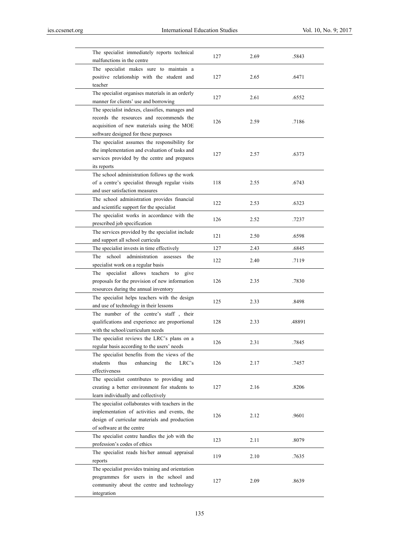|                           | The specialist immediately reports technical<br>malfunctions in the centre                                                                                                        | 127 | 2.69 | .5843  |
|---------------------------|-----------------------------------------------------------------------------------------------------------------------------------------------------------------------------------|-----|------|--------|
| teacher                   | The specialist makes sure to maintain a<br>positive relationship with the student and                                                                                             | 127 | 2.65 | .6471  |
|                           | The specialist organises materials in an orderly<br>manner for clients' use and borrowing                                                                                         | 127 | 2.61 | .6552  |
|                           | The specialist indexes, classifies, manages and<br>records the resources and recommends the<br>acquisition of new materials using the MOE<br>software designed for these purposes | 126 | 2.59 | .7186  |
| its reports               | The specialist assumes the responsibility for<br>the implementation and evaluation of tasks and<br>services provided by the centre and prepares                                   | 127 | 2.57 | .6373  |
|                           | The school administration follows up the work<br>of a centre's specialist through regular visits<br>and user satisfaction measures                                                | 118 | 2.55 | .6743  |
|                           | The school administration provides financial<br>and scientific support for the specialist                                                                                         | 122 | 2.53 | .6323  |
|                           | The specialist works in accordance with the<br>prescribed job specification                                                                                                       | 126 | 2.52 | .7237  |
|                           | The services provided by the specialist include<br>and support all school curricula                                                                                               | 121 | 2.50 | .6598  |
|                           | The specialist invests in time effectively                                                                                                                                        | 127 | 2.43 | .6845  |
| The                       | school administration<br>the<br>assesses<br>specialist work on a regular basis                                                                                                    | 122 | 2.40 | .7119  |
|                           | The specialist allows teachers<br>to<br>give<br>proposals for the provision of new information<br>resources during the annual inventory                                           | 126 | 2.35 | .7830  |
|                           | The specialist helps teachers with the design<br>and use of technology in their lessons                                                                                           | 125 | 2.33 | .8498  |
|                           | The number of the centre's staff, their<br>qualifications and experience are proportional<br>with the school/curriculum needs                                                     | 128 | 2.33 | .48891 |
|                           | The specialist reviews the LRC's plans on a<br>regular basis according to the users' needs                                                                                        | 126 | 2.31 | .7845  |
| students<br>effectiveness | The specialist benefits from the views of the<br>thus<br>enhancing<br>the<br>LRC's                                                                                                | 126 | 2.17 | .7457  |
|                           | The specialist contributes to providing and<br>creating a better environment for students to<br>learn individually and collectively                                               | 127 | 2.16 | .8206  |
|                           | The specialist collaborates with teachers in the<br>implementation of activities and events, the<br>design of curricular materials and production<br>of software at the centre    | 126 | 2.12 | .9601  |
|                           | The specialist centre handles the job with the<br>profession's codes of ethics                                                                                                    | 123 | 2.11 | .8079  |
| reports                   | The specialist reads his/her annual appraisal                                                                                                                                     | 119 | 2.10 | .7635  |
| integration               | The specialist provides training and orientation<br>programmes for users in the school and<br>community about the centre and technology                                           | 127 | 2.09 | .8639  |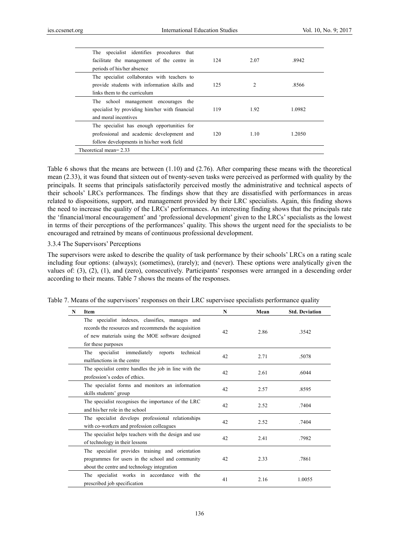| The specialist identifies procedures that<br>facilitate the management of the centre in<br>periods of his/her absence                 | 124 | 2.07 | .8942  |
|---------------------------------------------------------------------------------------------------------------------------------------|-----|------|--------|
| The specialist collaborates with teachers to<br>provide students with information skills and<br>links them to the curriculum          | 125 | 2    | .8566  |
| The school management encourages<br>the<br>specialist by providing him/her with financial<br>and moral incentives                     | 119 | 1.92 | 1.0982 |
| The specialist has enough opportunities for<br>professional and academic development and<br>follow developments in his/her work field | 120 | 1.10 | 1.2050 |
| Theoretical mean= 2.33                                                                                                                |     |      |        |

Table 6 shows that the means are between (1.10) and (2.76). After comparing these means with the theoretical mean (2.33), it was found that sixteen out of twenty-seven tasks were perceived as performed with quality by the principals. It seems that principals satisfactorily perceived mostly the administrative and technical aspects of their schools' LRCs performances. The findings show that they are dissatisfied with performances in areas related to dispositions, support, and management provided by their LRC specialists. Again, this finding shows the need to increase the quality of the LRCs' performances. An interesting finding shows that the principals rate the 'financial/moral encouragement' and 'professional development' given to the LRCs' specialists as the lowest in terms of their perceptions of the performances' quality. This shows the urgent need for the specialists to be encouraged and retrained by means of continuous professional development.

### 3.3.4 The Supervisors' Perceptions

The supervisors were asked to describe the quality of task performance by their schools' LRCs on a rating scale including four options: (always); (sometimes), (rarely); and (never). These options were analytically given the values of: (3), (2), (1), and (zero), consecutively. Participants' responses were arranged in a descending order according to their means. Table 7 shows the means of the responses.

| Table 7. Means of the supervisors' responses on their LRC supervisee specialists performance quality |  |  |
|------------------------------------------------------------------------------------------------------|--|--|
|                                                                                                      |  |  |

| N | <b>Item</b>                                                                                                                                                                       | N  | Mean | <b>Std. Deviation</b> |
|---|-----------------------------------------------------------------------------------------------------------------------------------------------------------------------------------|----|------|-----------------------|
|   | The specialist indexes, classifies, manages and<br>records the resources and recommends the acquisition<br>of new materials using the MOE software designed<br>for these purposes | 42 | 2.86 | 3542                  |
|   | specialist<br>immediately<br>The<br>reports<br>technical<br>malfunctions in the centre                                                                                            | 42 | 2.71 | .5078                 |
|   | The specialist centre handles the job in line with the<br>profession's codes of ethics.                                                                                           | 42 | 2.61 | .6044                 |
|   | The specialist forms and monitors an information<br>skills students' group                                                                                                        | 42 | 2.57 | .8595                 |
|   | The specialist recognises the importance of the LRC<br>and his/her role in the school                                                                                             | 42 | 2.52 | .7404                 |
|   | The specialist develops professional relationships<br>with co-workers and profession colleagues                                                                                   | 42 | 2.52 | .7404                 |
|   | The specialist helps teachers with the design and use<br>of technology in their lessons                                                                                           | 42 | 2.41 | .7982                 |
|   | The specialist provides training and orientation<br>programmes for users in the school and community<br>about the centre and technology integration                               | 42 | 2.33 | .7861                 |
|   | The specialist works in accordance with the<br>prescribed job specification                                                                                                       | 41 | 2.16 | 1.0055                |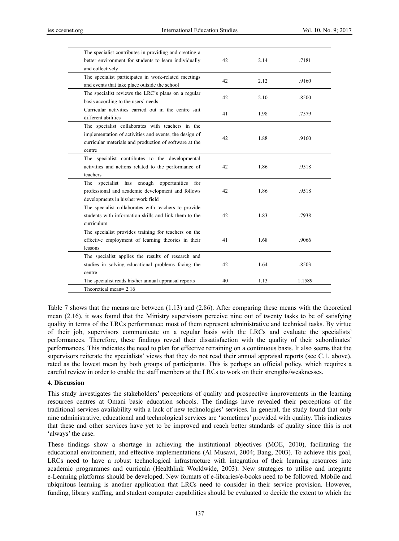| The specialist contributes in providing and creating a<br>better environment for students to learn individually<br>and collectively                                            | 42 | 2.14 | .7181  |
|--------------------------------------------------------------------------------------------------------------------------------------------------------------------------------|----|------|--------|
| The specialist participates in work-related meetings<br>and events that take place outside the school                                                                          | 42 | 2.12 | .9160  |
| The specialist reviews the LRC's plans on a regular<br>basis according to the users' needs                                                                                     | 42 | 2.10 | .8500  |
| Curricular activities carried out in the centre suit<br>different abilities                                                                                                    | 41 | 1.98 | .7579  |
| The specialist collaborates with teachers in the<br>implementation of activities and events, the design of<br>curricular materials and production of software at the<br>centre | 42 | 1.88 | .9160  |
| The specialist contributes to the developmental<br>activities and actions related to the performance of<br>teachers                                                            | 42 | 1.86 | .9518  |
| enough opportunities for<br>specialist has<br>The<br>professional and academic development and follows<br>developments in his/her work field                                   | 42 | 1.86 | .9518  |
| The specialist collaborates with teachers to provide<br>students with information skills and link them to the<br>curriculum                                                    | 42 | 1.83 | .7938  |
| The specialist provides training for teachers on the<br>effective employment of learning theories in their<br>lessons                                                          | 41 | 1.68 | .9066  |
| The specialist applies the results of research and<br>studies in solving educational problems facing the<br>centre                                                             | 42 | 1.64 | .8503  |
| The specialist reads his/her annual appraisal reports                                                                                                                          | 40 | 1.13 | 1.1589 |
| Theoretical mean= 2.16                                                                                                                                                         |    |      |        |

Table 7 shows that the means are between (1.13) and (2.86). After comparing these means with the theoretical mean (2.16), it was found that the Ministry supervisors perceive nine out of twenty tasks to be of satisfying quality in terms of the LRCs performance; most of them represent administrative and technical tasks. By virtue of their job, supervisors communicate on a regular basis with the LRCs and evaluate the specialists' performances. Therefore, these findings reveal their dissatisfaction with the quality of their subordinates' performances. This indicates the need to plan for effective retraining on a continuous basis. It also seems that the supervisors reiterate the specialists' views that they do not read their annual appraisal reports (see C.1. above), rated as the lowest mean by both groups of participants. This is perhaps an official policy, which requires a careful review in order to enable the staff members at the LRCs to work on their strengths/weaknesses.

#### **4. Discussion**

This study investigates the stakeholders' perceptions of quality and prospective improvements in the learning resources centres at Omani basic education schools. The findings have revealed their perceptions of the traditional services availability with a lack of new technologies' services. In general, the study found that only nine administrative, educational and technological services are 'sometimes' provided with quality. This indicates that these and other services have yet to be improved and reach better standards of quality since this is not 'always' the case.

These findings show a shortage in achieving the institutional objectives (MOE, 2010), facilitating the educational environment, and effective implementations (Al Musawi, 2004; Bang, 2003). To achieve this goal, LRCs need to have a robust technological infrastructure with integration of their learning resources into academic programmes and curricula (Healthlink Worldwide, 2003). New strategies to utilise and integrate e-Learning platforms should be developed. New formats of e-libraries/e-books need to be followed. Mobile and ubiquitous learning is another application that LRCs need to consider in their service provision. However, funding, library staffing, and student computer capabilities should be evaluated to decide the extent to which the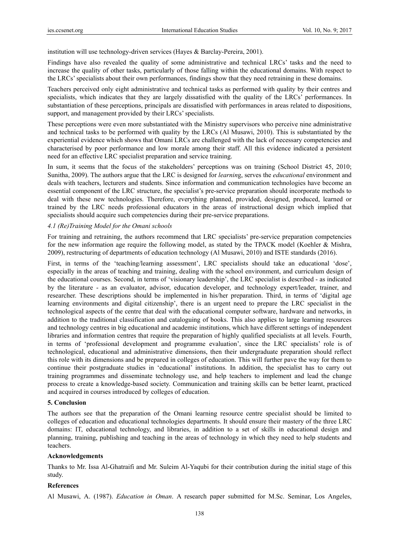institution will use technology-driven services (Hayes & Barclay-Pereira, 2001).

Findings have also revealed the quality of some administrative and technical LRCs' tasks and the need to increase the quality of other tasks, particularly of those falling within the educational domains. With respect to the LRCs' specialists about their own performances, findings show that they need retraining in these domains.

Teachers perceived only eight administrative and technical tasks as performed with quality by their centres and specialists, which indicates that they are largely dissatisfied with the quality of the LRCs' performances. In substantiation of these perceptions, principals are dissatisfied with performances in areas related to dispositions, support, and management provided by their LRCs' specialists.

These perceptions were even more substantiated with the Ministry supervisors who perceive nine administrative and technical tasks to be performed with quality by the LRCs (Al Musawi, 2010). This is substantiated by the experiential evidence which shows that Omani LRCs are challenged with the lack of necessary competencies and characterised by poor performance and low morale among their staff. All this evidence indicated a persistent need for an effective LRC specialist preparation and service training.

In sum, it seems that the focus of the stakeholders' perceptions was on training (School District 45, 2010; Sunitha, 2009). The authors argue that the LRC is designed for *learnin*g, serves the *educational* environment and deals with teachers, lecturers and students. Since information and communication technologies have become an essential component of the LRC structure, the specialist's pre-service preparation should incorporate methods to deal with these new technologies. Therefore, everything planned, provided, designed, produced, learned or trained by the LRC needs professional educators in the areas of instructional design which implied that specialists should acquire such competencies during their pre-service preparations.

### *4.1 (Re)Training Model for the Omani schools*

For training and retraining, the authors recommend that LRC specialists' pre-service preparation competencies for the new information age require the following model, as stated by the TPACK model (Koehler & Mishra, 2009), restructuring of departments of education technology (Al Musawi, 2010) and ISTE standards (2016).

First, in terms of the 'teaching/learning assessment', LRC specialists should take an educational 'dose', especially in the areas of teaching and training, dealing with the school environment, and curriculum design of the educational courses. Second, in terms of 'visionary leadership', the LRC specialist is described - as indicated by the literature - as an evaluator, advisor, education developer, and technology expert/leader, trainer, and researcher. These descriptions should be implemented in his/her preparation. Third, in terms of 'digital age learning environments and digital citizenship', there is an urgent need to prepare the LRC specialist in the technological aspects of the centre that deal with the educational computer software, hardware and networks, in addition to the traditional classification and cataloguing of books. This also applies to large learning resources and technology centres in big educational and academic institutions, which have different settings of independent libraries and information centres that require the preparation of highly qualified specialists at all levels. Fourth, in terms of 'professional development and programme evaluation', since the LRC specialists' role is of technological, educational and administrative dimensions, then their undergraduate preparation should reflect this role with its dimensions and be prepared in colleges of education. This will further pave the way for them to continue their postgraduate studies in 'educational' institutions. In addition, the specialist has to carry out training programmes and disseminate technology use, and help teachers to implement and lead the change process to create a knowledge-based society. Communication and training skills can be better learnt, practiced and acquired in courses introduced by colleges of education.

### **5. Conclusion**

The authors see that the preparation of the Omani learning resource centre specialist should be limited to colleges of education and educational technologies departments. It should ensure their mastery of the three LRC domains: IT, educational technology, and libraries, in addition to a set of skills in educational design and planning, training, publishing and teaching in the areas of technology in which they need to help students and teachers.

### **Acknowledgements**

Thanks to Mr. Issa Al-Ghatraifi and Mr. Suleim Al-Yaqubi for their contribution during the initial stage of this study.

### **References**

Al Musawi, A. (1987). *Education in Oman*. A research paper submitted for M.Sc. Seminar, Los Angeles,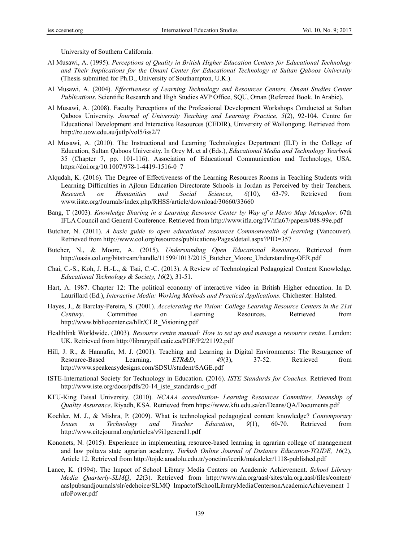University of Southern California.

- Al Musawi, A. (1995). *Perceptions of Quality in British Higher Education Centers for Educational Technology and Their Implications for the Omani Center for Educational Technology at Sultan Qaboos University* (Thesis submitted for Ph.D., University of Southampton, U.K.).
- Al Musawi, A. (2004). *Effectiveness of Learning Technology and Resources Centers, Omani Studies Center Publications*. Scientific Research and High Studies AVP Office, SQU, Oman (Refereed Book, In Arabic).
- Al Musawi, A. (2008). Faculty Perceptions of the Professional Development Workshops Conducted at Sultan Qaboos University. *Journal of University Teaching and Learning Practice*, *5*(2), 92-104. Centre for Educational Development and Interactive Resources (CEDIR), University of Wollongong. Retrieved from http://ro.uow.edu.au/jutlp/vol5/iss2/7
- Al Musawi, A. (2010). The Instructional and Learning Technologies Department (ILT) in the College of Education, Sultan Qaboos University. In Orey M. et al (Eds.), *Educational Media and Technology Yearbook* 35 (Chapter 7, pp. 101-116). Association of Educational Communication and Technology, USA. https://doi.org/10.1007/978-1-4419-1516-0\_7
- Alqudah, K. (2016). The Degree of Effectiveness of the Learning Resources Rooms in Teaching Students with Learning Difficulties in Ajloun Education Directorate Schools in Jordan as Perceived by their Teachers. *Research on Humanities and Social Sciences*, *6*(10), 63-79. Retrieved from www.iiste.org/Journals/index.php/RHSS/article/download/30660/33660
- Bang, T (2003). *Knowledge Sharing in a Learning Resource Center by Way of a Metro Map Metaphor*. 67th IFLA Council and General Conference. Retrieved from http://www.ifla.org/IV/ifla67/papers/088-99e.pdf
- Butcher, N. (2011). *A basic guide to open educational resources Commonwealth of learning* (Vancouver). Retrieved from http://www.col.org/resources/publications/Pages/detail.aspx?PID=357
- Butcher, N., & Moore, A. (2015). *Understanding Open Educational Resources*. Retrieved from http://oasis.col.org/bitstream/handle/11599/1013/2015\_Butcher\_Moore\_Understanding-OER.pdf
- Chai, C.-S., Koh, J. H.-L., & Tsai, C.-C. (2013). A Review of Technological Pedagogical Content Knowledge. *Educational Technology & Society*, *16*(2), 31-51.
- Hart, A. 1987. Chapter 12: The political economy of interactive video in British Higher education. In D. Laurillard (Ed.), *Interactive Media: Working Methods and Practical Applications*. Chichester: Halsted.
- Hayes, J., & Barclay-Pereira, S. (2001). *Accelerating the Vision: College Learning Resource Centers in the 21st Century*. Committee on Learning Resources. Retrieved from http://www.bibliocenter.ca/hllr/CLR\_Visioning.pdf
- Healthlink Worldwide. (2003). *Resource centre manual: How to set up and manage a resource centre*. London: UK. Retrieved from http://librarypdf.catie.ca/PDF/P2/21192.pdf
- Hill, J. R., & Hannafin, M. J. (2001). Teaching and Learning in Digital Environments: The Resurgence of Resource-Based Learning. *ETR&D*, *49*(3), 37-52. Retrieved from http://www.speakeasydesigns.com/SDSU/student/SAGE.pdf
- ISTE-International Society for Technology in Education. (2016). *ISTE Standards for Coaches*. Retrieved from http://www.iste.org/docs/pdfs/20-14\_iste\_standards-c\_pdf
- KFU-King Faisal University. (2010). *NCAAA accreditation- Learning Resources Committee, Deanship of Quality Assurance*. Riyadh, KSA. Retrieved from https://www.kfu.edu.sa/en/Deans/QA/Documents.pdf
- Koehler, M. J., & Mishra, P. (2009). What is technological pedagogical content knowledge? *Contemporary Issues in Technology and Teacher Education*, *9*(1), 60-70. Retrieved from http://www.citejournal.org/articles/v9i1general1.pdf
- Kononets, N. (2015). Experience in implementing resource-based learning in agrarian college of management and law poltava state agrarian academy. *Turkish Online Journal of Distance Education-TOJDE, 16*(2), Article 12. Retrieved from http://tojde.anadolu.edu.tr/yonetim/icerik/makaleler/1118-published.pdf
- Lance, K. (1994). The Impact of School Library Media Centers on Academic Achievement. *School Library Media Quarterly-SLMQ*, *22*(3). Retrieved from http://www.ala.org/aasl/sites/ala.org.aasl/files/content/ aaslpubsandjournals/slr/edchoice/SLMQ\_ImpactofSchoolLibraryMediaCentersonAcademicAchievement\_I nfoPower.pdf